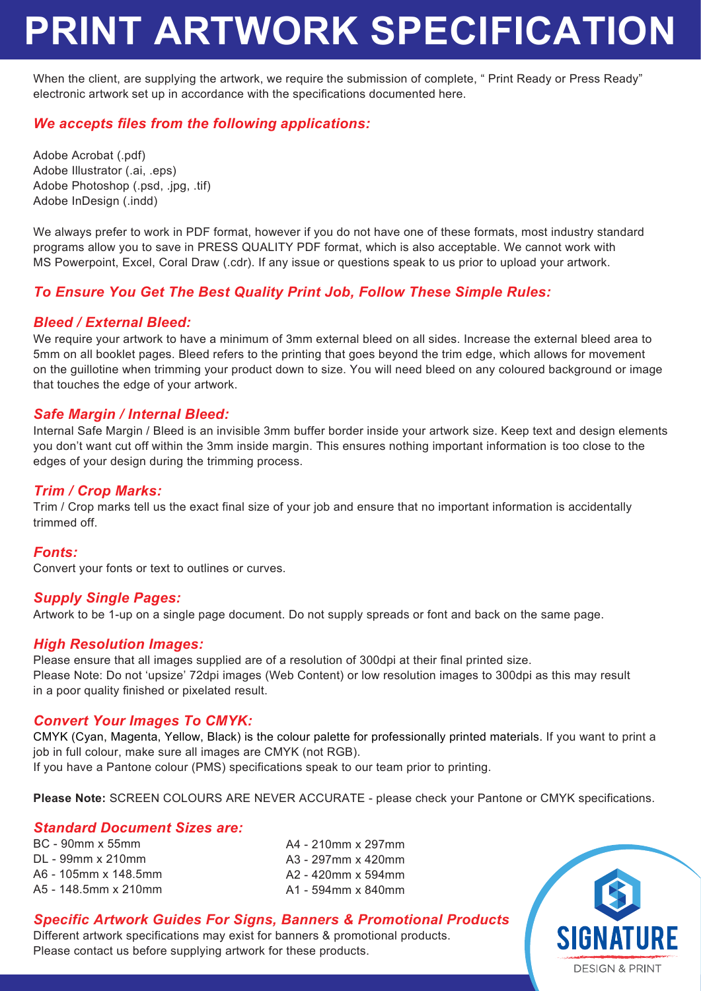# **PRINT ARTWORK SPECIFICATION**

When the client, are supplying the artwork, we require the submission of complete, " Print Ready or Press Ready" electronic artwork set up in accordance with the specifications documented here.

## *We accepts files from the following applications:*

Adobe Acrobat (.pdf) Adobe Illustrator (.ai, .eps) Adobe Photoshop (.psd, .jpg, .tif) Adobe InDesign (.indd)

We always prefer to work in PDF format, however if you do not have one of these formats, most industry standard programs allow you to save in PRESS QUALITY PDF format, which is also acceptable. We cannot work with MS Powerpoint, Excel, Coral Draw (.cdr). If any issue or questions speak to us prior to upload your artwork.

### *To Ensure You Get The Best Quality Print Job, Follow These Simple Rules:*

#### *Bleed / External Bleed:*

We require your artwork to have a minimum of 3mm external bleed on all sides. Increase the external bleed area to 5mm on all booklet pages. Bleed refers to the printing that goes beyond the trim edge, which allows for movement on the guillotine when trimming your product down to size. You will need bleed on any coloured background or image that touches the edge of your artwork.

#### *Safe Margin / Internal Bleed:*

Internal Safe Margin / Bleed is an invisible 3mm buffer border inside your artwork size. Keep text and design elements you don't want cut off within the 3mm inside margin. This ensures nothing important information is too close to the edges of your design during the trimming process.

#### *Trim / Crop Marks:*

Trim / Crop marks tell us the exact final size of your job and ensure that no important information is accidentally trimmed off.

#### *Fonts:*

Convert your fonts or text to outlines or curves.

#### *Supply Single Pages:*

Artwork to be 1-up on a single page document. Do not supply spreads or font and back on the same page.

#### *High Resolution Images:*

Please ensure that all images supplied are of a resolution of 300dpi at their final printed size. Please Note: Do not 'upsize' 72dpi images (Web Content) or low resolution images to 300dpi as this may result in a poor quality finished or pixelated result.

#### *Convert Your Images To CMYK:*

CMYK (Cyan, Magenta, Yellow, Black) is the colour palette for professionally printed materials. If you want to print a job in full colour, make sure all images are CMYK (not RGB).

If you have a Pantone colour (PMS) specifications speak to our team prior to printing.

**Please Note:** SCREEN COLOURS ARE NEVER ACCURATE - please check your Pantone or CMYK specifications.

#### *Standard Document Sizes are:*

BC - 90mm x 55mm DL - 99mm x 210mm A6 - 105mm x 148.5mm A5 - 148.5mm x 210mm

A4 - 210mm x 297mm A3 - 297mm x 420mm A2 - 420mm x 594mm A1 - 594mm x 840mm

## *Specific Artwork Guides For Signs, Banners & Promotional Products*

Different artwork specifications may exist for banners & promotional products. Please contact us before supplying artwork for these products.